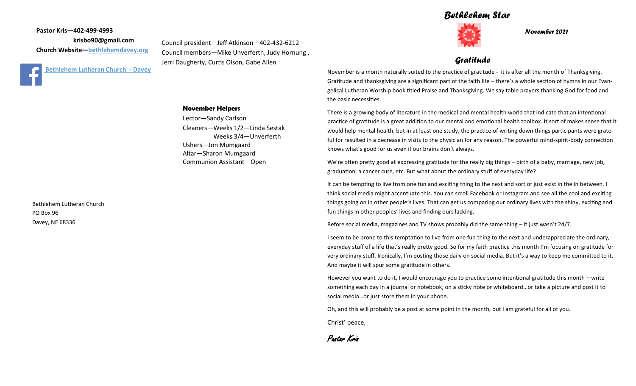### *Bethlehem Star*



*November 2021*

### *Gratitude*

November is a month naturally suited to the practice of gratitude - it is after all the month of Thanksgiving. Gratitude and thanksgiving are a significant part of the faith life – there's a whole section of hymns in our Evangelical Lutheran Worship book titled Praise and Thanksgiving. We say table prayers thanking God for food and the basic necessities.

There is a growing body of literature in the medical and mental health world that indicate that an intentional practice of gratitude is a great addition to our mental and emotional health toolbox. It sort of makes sense that it would help mental health, but in at least one study, the practice of writing down things participants were grateful for resulted in a decrease in visits to the physician for any reason. The powerful mind-spirit-body connection knows what's good for us even if our brains don't always.

We're often pretty good at expressing gratitude for the really big things – birth of a baby, marriage, new job, graduation, a cancer cure, etc. But what about the ordinary stuff of everyday life?

It can be tempting to live from one fun and exciting thing to the next and sort of just exist in the in between. I think social media might accentuate this. You can scroll Facebook or Instagram and see all the cool and exciting things going on in other people's lives. That can get us comparing our ordinary lives with the shiny, exciting and fun things in other peoples' lives and finding ours lacking.

Before social media, magazines and TV shows probably did the same thing – it just wasn't 24/7.

I seem to be prone to this temptation to live from one fun thing to the next and underappreciate the ordinary, everyday stuff of a life that's really pretty good. So for my faith practice this month I'm focusing on gratitude for very ordinary stuff. Ironically, I'm posting those daily on social media. But it's a way to keep me committed to it. And maybe it will spur some gratitude in others.

However you want to do it, I would encourage you to practice some intentional gratitude this month – write something each day in a journal or notebook, on a sticky note or whiteboard…or take a picture and post it to social media…or just store them in your phone.

Oh, and this will probably be a post at some point in the month, but I am grateful for all of you.

Christ' peace,

Pastor Kris

**Pastor Kris—402-499-4993 krisbo90@gmail.com Church Website—<bethlehemdavey.org>**



#### **November Helpers**

Lector—Sandy Carlson Cleaners—Weeks 1/2—Linda Sestak Weeks 3/4—Unverferth Ushers—Jon Mumgaard Altar—Sharon Mumgaard Communion Assistant—Open

Council president—Jeff Atkinson—402-432-6212 Council members—Mike Unverferth, Judy Hornung ,

Jerri Daugherty, Curtis Olson, Gabe Allen

Bethlehem Lutheran Church PO Box 96 Davey, NE 68336